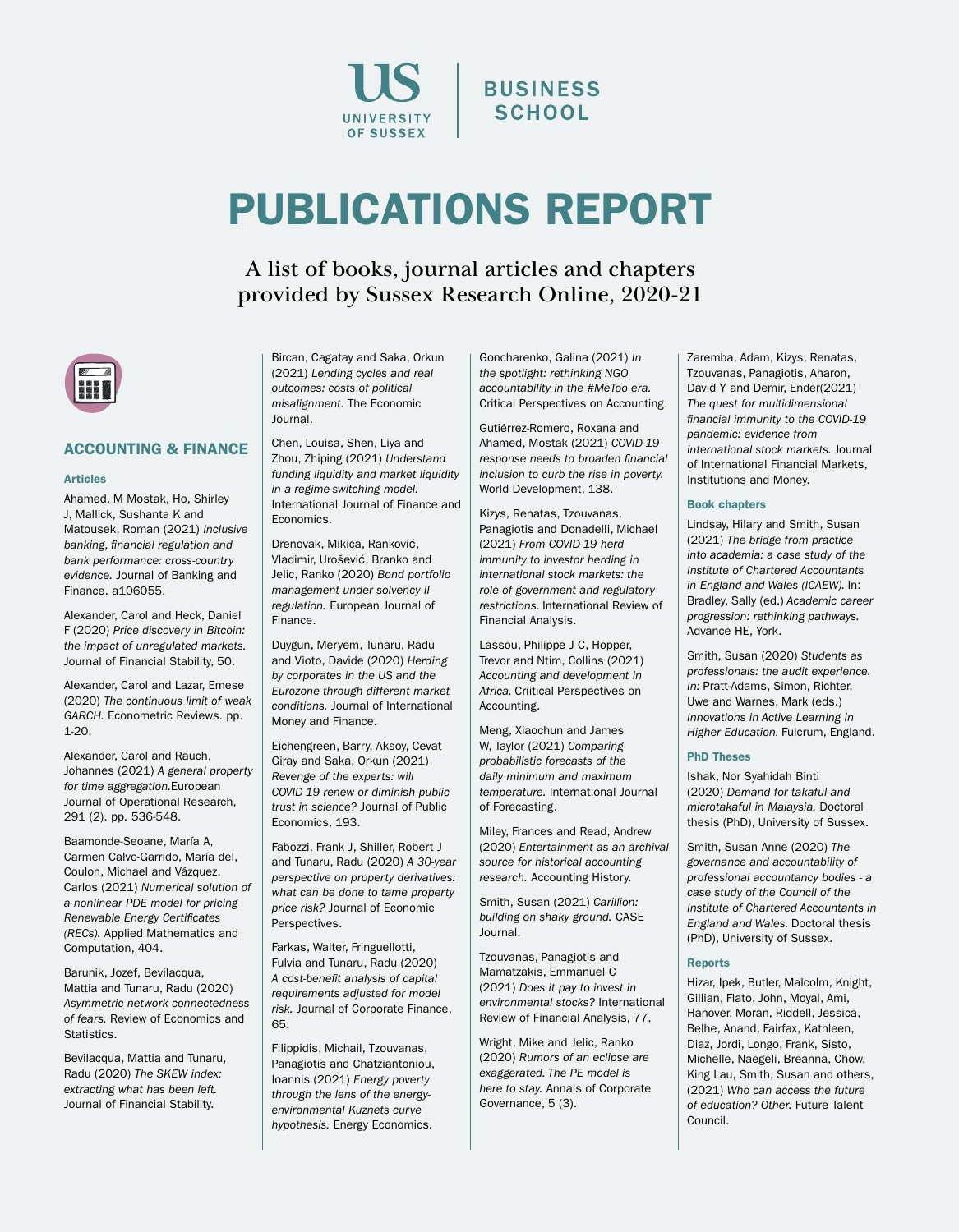

# PUBLICATIONS REPORT

A list of books, journal articles and chapters provided by Sussex Research Online, 2020-21



# ACCOUNTING & FINANCE

#### **Articles**

Ahamed, M Mostak, Ho, Shirley J, Mallick, Sushanta K and Matousek, Roman (2021) *Inclusive banking, financial regulation and bank performance: cross-country evidence.* Journal of Banking and Finance. a106055.

Alexander, Carol and Heck, Daniel F (2020) *Price discovery in Bitcoin: the impact of unregulated markets.* Journal of Financial Stability, 50.

Alexander, Carol and Lazar, Emese (2020) *The continuous limit of weak GARCH.* Econometric Reviews. pp. 1-20.

Alexander, Carol and Rauch, Johannes (2021) *A general property for time aggregation.*European Journal of Operational Research, 291 (2). pp. 536-548.

Baamonde-Seoane, María A, Carmen Calvo-Garrido, María del, Coulon, Michael and Vázquez, Carlos (2021) *Numerical solution of a nonlinear PDE model for pricing Renewable Energy Certificates (RECs).* Applied Mathematics and Computation, 404.

Barunik, Jozef, Bevilacqua, Mattia and Tunaru, Radu (2020) *Asymmetric network connectedness of fears.* Review of Economics and **Statistics** 

Bevilacqua, Mattia and Tunaru, Radu (2020) *The SKEW index: extracting what has been left.* Journal of Financial Stability.

Bircan, Cagatay and Saka, Orkun (2021) *Lending cycles and real outcomes: costs of political misalignment.* The Economic Journal.

Chen, Louisa, Shen, Liya and Zhou, Zhiping (2021) *Understand funding liquidity and market liquidity in a regime-switching model.* International Journal of Finance and **Economics** 

Drenovak, Mikica, Ranković, Vladimir, Urošević, Branko and Jelic, Ranko (2020) *Bond portfolio management under solvency II regulation.* European Journal of Finance.

Duygun, Meryem, Tunaru, Radu and Vioto, Davide (2020) *Herding by corporates in the US and the Eurozone through different market conditions.* Journal of International Money and Finance.

Eichengreen, Barry, Aksoy, Cevat Giray and Saka, Orkun (2021) *Revenge of the experts: will COVID-19 renew or diminish public trust in science?* Journal of Public Economics, 193.

Fabozzi, Frank J, Shiller, Robert J and Tunaru, Radu (2020) *A 30-year perspective on property derivatives: what can be done to tame property price risk?* Journal of Economic Perspectives.

Farkas, Walter, Fringuellotti, Fulvia and Tunaru, Radu (2020) *A cost-benefit analysis of capital requirements adjusted for model risk.* Journal of Corporate Finance, 65.

Filippidis, Michail, Tzouvanas, Panagiotis and Chatziantoniou, Ioannis (2021) *Energy poverty through the lens of the energyenvironmental Kuznets curve hypothesis.* Energy Economics.

Goncharenko, Galina (2021) *In the spotlight: rethinking NGO accountability in the #MeToo era.* Critical Perspectives on Accounting.

**BUSINESS SCHOOL** 

Gutiérrez-Romero, Roxana and Ahamed, Mostak (2021) *COVID-19 response needs to broaden financial inclusion to curb the rise in poverty.* World Development, 138.

Kizys, Renatas, Tzouvanas, Panagiotis and Donadelli, Michael (2021) *From COVID-19 herd immunity to investor herding in international stock markets: the role of government and regulatory restrictions.* International Review of Financial Analysis.

Lassou, Philippe J C, Hopper, Trevor and Ntim, Collins (2021) *Accounting and development in Africa.* Criitical Perspectives on Accounting.

Meng, Xiaochun and James W, Taylor (2021) *Comparing probabilistic forecasts of the daily minimum and maximum temperature.* International Journal of Forecasting.

Miley, Frances and Read, Andrew (2020) *Entertainment as an archival source for historical accounting research.* Accounting History.

Smith, Susan (2021) *Carillion: building on shaky ground.* CASE Journal.

Tzouvanas, Panagiotis and Mamatzakis, Emmanuel C (2021) *Does it pay to invest in environmental stocks?* International Review of Financial Analysis, 77.

Wright, Mike and Jelic, Ranko (2020) *Rumors of an eclipse are exaggerated. The PE model is here to stay.* Annals of Corporate Governance, 5 (3).

Zaremba, Adam, Kizys, Renatas, Tzouvanas, Panagiotis, Aharon, David Y and Demir, Ender(2021) *The quest for multidimensional financial immunity to the COVID-19 pandemic: evidence from international stock markets.* Journal of International Financial Markets, Institutions and Money.

#### Book chapters

Lindsay, Hilary and Smith, Susan (2021) *The bridge from practice into academia: a case study of the Institute of Chartered Accountants in England and Wales (ICAEW).* In: Bradley, Sally (ed.) *Academic career progression: rethinking pathways.*  Advance HE, York.

Smith, Susan (2020) *Students as professionals: the audit experience. In:* Pratt-Adams, Simon, Richter, Uwe and Warnes, Mark (eds.) *Innovations in Active Learning in Higher Education.* Fulcrum, England.

#### PhD Theses

Ishak, Nor Syahidah Binti (2020) *Demand for takaful and microtakaful in Malaysia.* Doctoral thesis (PhD), University of Sussex.

Smith, Susan Anne (2020) *The governance and accountability of professional accountancy bodies - a case study of the Council of the Institute of Chartered Accountants in England and Wales.* Doctoral thesis (PhD), University of Sussex.

#### Reports

Hizar, Ipek, Butler, Malcolm, Knight, Gillian, Flato, John, Moyal, Ami, Hanover, Moran, Riddell, Jessica, Belhe, Anand, Fairfax, Kathleen, Diaz, Jordi, Longo, Frank, Sisto, Michelle, Naegeli, Breanna, Chow, King Lau, Smith, Susan and others, (2021) *Who can access the future of education? Other.* Future Talent Council.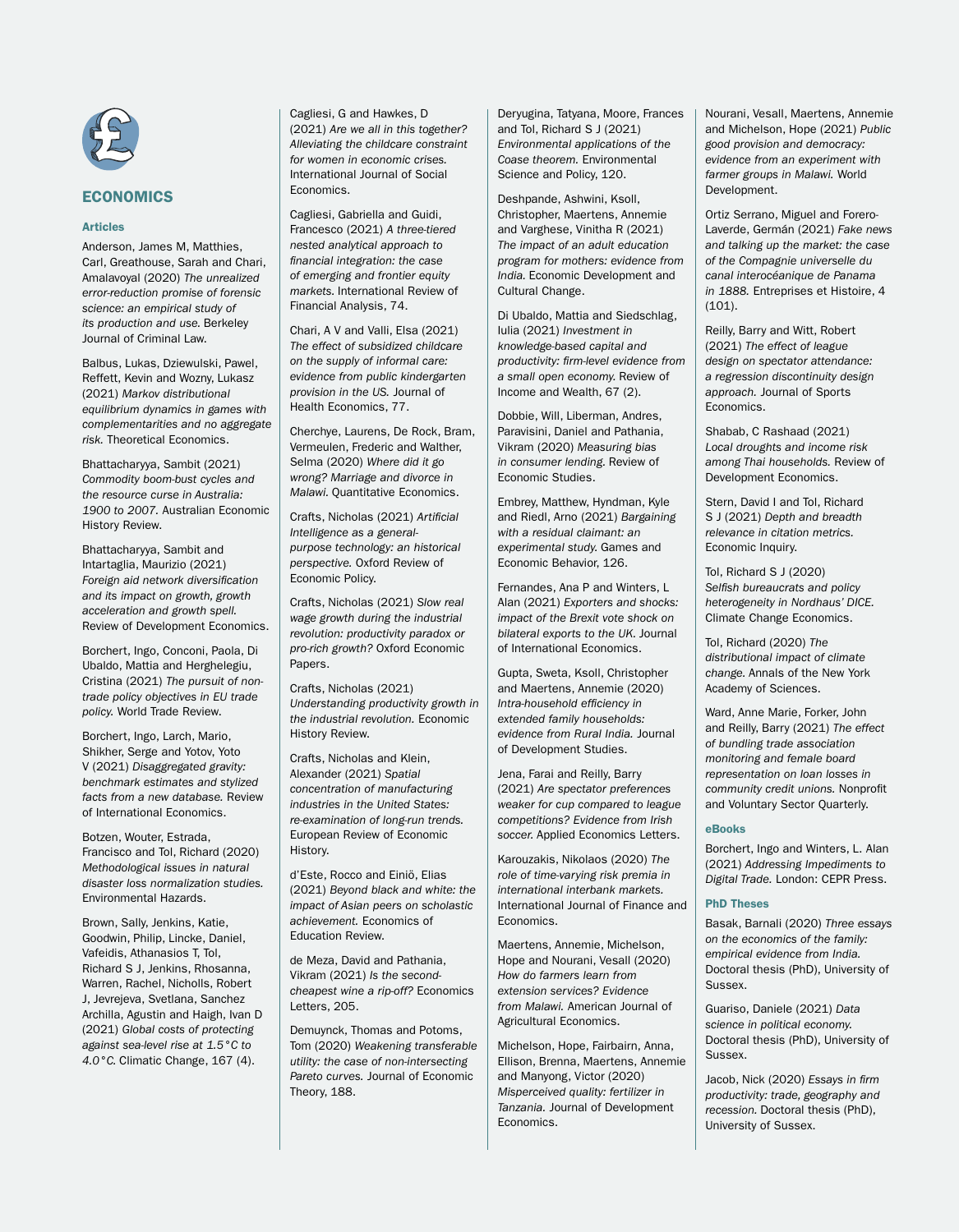

# Articles

Anderson, James M, Matthies, Carl, Greathouse, Sarah and Chari, Amalavoyal (2020) *The unrealized error-reduction promise of forensic science: an empirical study of its production and use.* Berkeley Journal of Criminal Law.

Balbus, Lukas, Dziewulski, Pawel, Reffett, Kevin and Wozny, Lukasz (2021) *Markov distributional equilibrium dynamics in games with complementarities and no aggregate risk.* Theoretical Economics.

Bhattacharyya, Sambit (2021) *Commodity boom-bust cycles and the resource curse in Australia: 1900 to 2007.* Australian Economic History Review.

Bhattacharyya, Sambit and Intartaglia, Maurizio (2021) *Foreign aid network diversification and its impact on growth, growth acceleration and growth spell.* Review of Development Economics.

Borchert, Ingo, Conconi, Paola, Di Ubaldo, Mattia and Herghelegiu, Cristina (2021) *The pursuit of nontrade policy objectives in EU trade policy.* World Trade Review.

Borchert, Ingo, Larch, Mario, Shikher, Serge and Yotov, Yoto V (2021) *Disaggregated gravity: benchmark estimates and stylized facts from a new database.* Review of International Economics.

Botzen, Wouter, Estrada, Francisco and Tol, Richard (2020) *Methodological issues in natural disaster loss normalization studies.*  Environmental Hazards.

Brown, Sally, Jenkins, Katie, Goodwin, Philip, Lincke, Daniel, Vafeidis, Athanasios T, Tol, Richard S J, Jenkins, Rhosanna, Warren, Rachel, Nicholls, Robert J, Jevrejeva, Svetlana, Sanchez Archilla, Agustin and Haigh, Ivan D (2021) *Global costs of protecting against sea-level rise at 1.5°C to 4.0°C.* Climatic Change, 167 (4).

Cagliesi, G and Hawkes, D (2021) *Are we all in this together? Alleviating the childcare constraint for women in economic crises.* International Journal of Social **Economics** 

Cagliesi, Gabriella and Guidi, Francesco (2021) *A three-tiered nested analytical approach to financial integration: the case of emerging and frontier equity markets.* International Review of Financial Analysis, 74.

Chari, A V and Valli, Elsa (2021) *The effect of subsidized childcare on the supply of informal care: evidence from public kindergarten provision in the US.* Journal of Health Economics, 77.

Cherchye, Laurens, De Rock, Bram, Vermeulen, Frederic and Walther, Selma (2020) *Where did it go wrong? Marriage and divorce in Malawi.* Quantitative Economics.

Crafts, Nicholas (2021) *Artificial Intelligence as a generalpurpose technology: an historical perspective.* Oxford Review of Economic Policy.

Crafts, Nicholas (2021) *Slow real wage growth during the industrial revolution: productivity paradox or pro-rich growth?* Oxford Economic Papers.

Crafts, Nicholas (2021) *Understanding productivity growth in the industrial revolution.* Economic History Review.

Crafts, Nicholas and Klein, Alexander (2021) *Spatial concentration of manufacturing industries in the United States: re-examination of long-run trends.*  European Review of Economic History.

d'Este, Rocco and Einiö, Elias (2021) *Beyond black and white: the impact of Asian peers on scholastic achievement.* Economics of Education Review.

de Meza, David and Pathania, Vikram (2021) *Is the secondcheapest wine a rip-off?* Economics Letters, 205.

Demuynck, Thomas and Potoms, Tom (2020) *Weakening transferable utility: the case of non-intersecting Pareto curves.* Journal of Economic Theory, 188.

Deryugina, Tatyana, Moore, Frances and Tol, Richard S J (2021) *Environmental applications of the Coase theorem.* Environmental Science and Policy, 120.

Deshpande, Ashwini, Ksoll, Christopher, Maertens, Annemie and Varghese, Vinitha R (2021) *The impact of an adult education program for mothers: evidence from India.* Economic Development and Cultural Change.

Di Ubaldo, Mattia and Siedschlag, Iulia (2021) *Investment in knowledge-based capital and productivity: firm-level evidence from a small open economy.* Review of Income and Wealth, 67 (2).

Dobbie, Will, Liberman, Andres, Paravisini, Daniel and Pathania, Vikram (2020) *Measuring bias in consumer lending.* Review of Economic Studies.

Embrey, Matthew, Hyndman, Kyle and Riedl, Arno (2021) *Bargaining with a residual claimant: an experimental study.* Games and Economic Behavior, 126.

Fernandes, Ana P and Winters, L Alan (2021) *Exporters and shocks: impact of the Brexit vote shock on bilateral exports to the UK.* Journal of International Economics.

Gupta, Sweta, Ksoll, Christopher and Maertens, Annemie (2020) *Intra-household efficiency in extended family households: evidence from Rural India.* Journal of Development Studies.

Jena, Farai and Reilly, Barry (2021) *Are spectator preferences weaker for cup compared to league competitions? Evidence from Irish soccer.* Applied Economics Letters.

Karouzakis, Nikolaos (2020) *The role of time-varying risk premia in international interbank markets.* International Journal of Finance and **Economics** 

Maertens, Annemie, Michelson, Hope and Nourani, Vesall (2020) *How do farmers learn from extension services? Evidence from Malawi.* American Journal of Agricultural Economics.

Michelson, Hope, Fairbairn, Anna, Ellison, Brenna, Maertens, Annemie and Manyong, Victor (2020) *Misperceived quality: fertilizer in Tanzania.* Journal of Development Economics.

Nourani, Vesall, Maertens, Annemie and Michelson, Hope (2021) *Public good provision and democracy: evidence from an experiment with farmer groups in Malawi.* World Development.

Ortiz Serrano, Miguel and Forero-Laverde, Germán (2021) *Fake news and talking up the market: the case of the Compagnie universelle du canal interocéanique de Panama in 1888.* Entreprises et Histoire, 4 (101).

Reilly, Barry and Witt, Robert (2021) *The effect of league design on spectator attendance: a regression discontinuity design approach.* Journal of Sports Economics.

Shabab, C Rashaad (2021) *Local droughts and income risk among Thai households.* Review of Development Economics.

Stern, David I and Tol, Richard S J (2021) *Depth and breadth relevance in citation metrics.* Economic Inquiry.

Tol, Richard S J (2020) *Selfish bureaucrats and policy heterogeneity in Nordhaus' DICE.*  Climate Change Economics.

Tol, Richard (2020) *The distributional impact of climate change.* Annals of the New York Academy of Sciences.

Ward, Anne Marie, Forker, John and Reilly, Barry (2021) *The effect of bundling trade association monitoring and female board representation on loan losses in community credit unions.* Nonprofit and Voluntary Sector Quarterly.

#### eBooks

Borchert, Ingo and Winters, L. Alan (2021) *Addressing Impediments to Digital Trade.* London: CEPR Press.

#### PhD Theses

Basak, Barnali (2020) *Three essays on the economics of the family: empirical evidence from India.* Doctoral thesis (PhD), University of Sussex.

Guariso, Daniele (2021) *Data science in political economy.* Doctoral thesis (PhD), University of Sussex.

Jacob, Nick (2020) *Essays in firm productivity: trade, geography and recession.* Doctoral thesis (PhD), University of Sussex.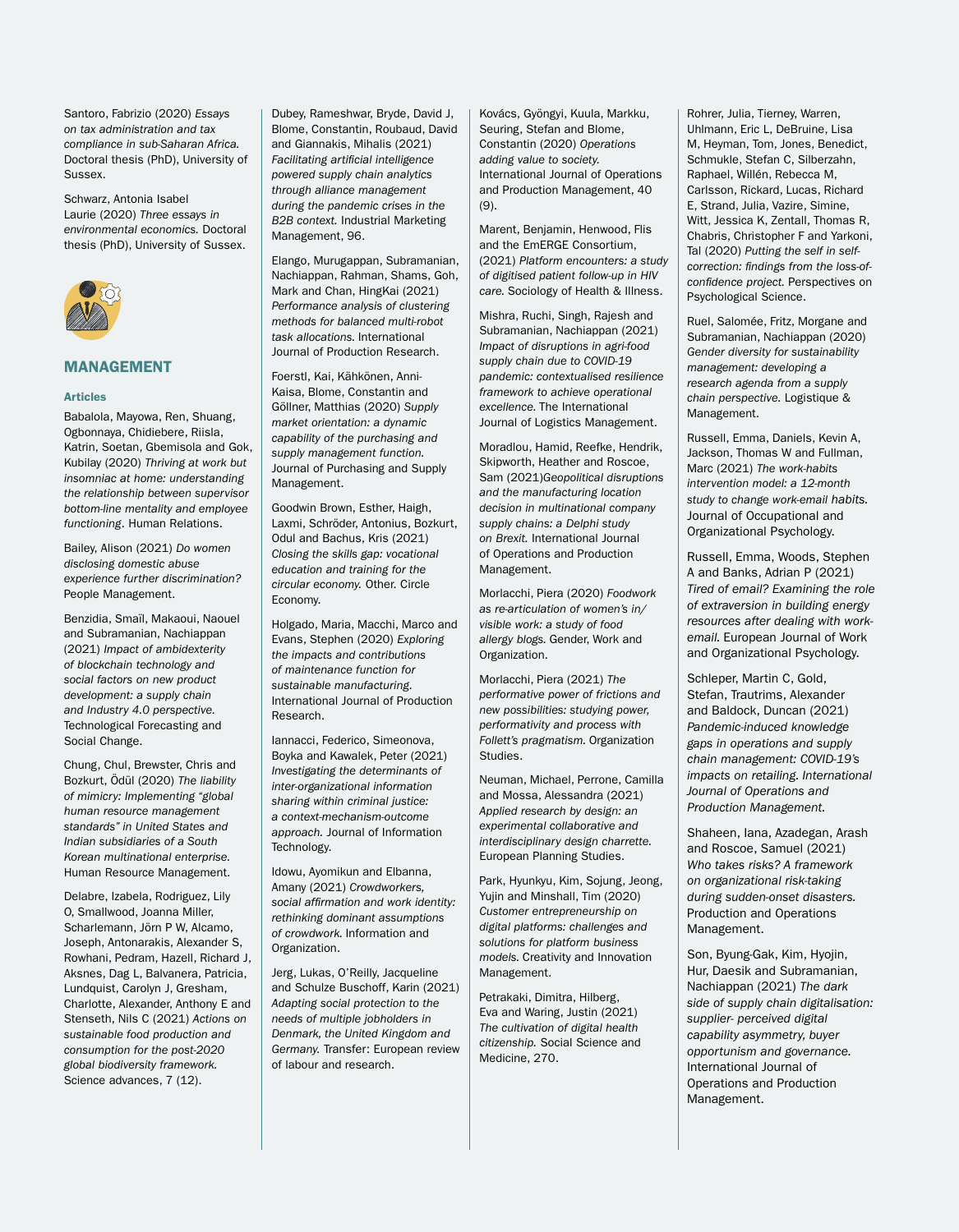Santoro, Fabrizio (2020) *Essays on tax administration and tax compliance in sub-Saharan Africa.* Doctoral thesis (PhD), University of Sussex.

Schwarz, Antonia Isabel Laurie (2020) *Three essays in environmental economics.* Doctoral thesis (PhD), University of Sussex.



## MANAGEMENT

#### **Articles**

Babalola, Mayowa, Ren, Shuang, Ogbonnaya, Chidiebere, Riisla, Katrin, Soetan, Gbemisola and Gok, Kubilay (2020) *Thriving at work but insomniac at home: understanding the relationship between supervisor bottom-line mentality and employee functioning*. Human Relations.

Bailey, Alison (2021) *Do women disclosing domestic abuse experience further discrimination?*  People Management.

Benzidia, Smaïl, Makaoui, Naouel and Subramanian, Nachiappan (2021) *Impact of ambidexterity of blockchain technology and social factors on new product development: a supply chain and Industry 4.0 perspective.*  Technological Forecasting and Social Change.

Chung, Chul, Brewster, Chris and Bozkurt, Ödül (2020) *The liability of mimicry: Implementing "global human resource management standards" in United States and Indian subsidiaries of a South Korean multinational enterprise.*  Human Resource Management.

Delabre, Izabela, Rodriguez, Lily O, Smallwood, Joanna Miller, Scharlemann, Jörn P W, Alcamo, Joseph, Antonarakis, Alexander S, Rowhani, Pedram, Hazell, Richard J, Aksnes, Dag L, Balvanera, Patricia, Lundquist, Carolyn J, Gresham, Charlotte, Alexander, Anthony E and Stenseth, Nils C (2021) *Actions on sustainable food production and consumption for the post-2020 global biodiversity framework.*  Science advances, 7 (12).

Dubey, Rameshwar, Bryde, David J, Blome, Constantin, Roubaud, David and Giannakis, Mihalis (2021) *Facilitating artificial intelligence powered supply chain analytics through alliance management during the pandemic crises in the B2B context.* Industrial Marketing Management, 96.

Elango, Murugappan, Subramanian, Nachiappan, Rahman, Shams, Goh, Mark and Chan, HingKai (2021) *Performance analysis of clustering methods for balanced multi-robot task allocations.* International Journal of Production Research.

Foerstl, Kai, Kähkönen, Anni-Kaisa, Blome, Constantin and Göllner, Matthias (2020) *Supply market orientation: a dynamic capability of the purchasing and supply management function.* Journal of Purchasing and Supply Management.

Goodwin Brown, Esther, Haigh, Laxmi, Schröder, Antonius, Bozkurt, Odul and Bachus, Kris (2021) *Closing the skills gap: vocational education and training for the circular economy.* Other. Circle Economy.

Holgado, Maria, Macchi, Marco and Evans, Stephen (2020) *Exploring the impacts and contributions of maintenance function for sustainable manufacturing.* International Journal of Production Research.

Iannacci, Federico, Simeonova, Boyka and Kawalek, Peter (2021) *Investigating the determinants of inter-organizational information sharing within criminal justice: a context-mechanism-outcome approach.* Journal of Information Technology.

Idowu, Ayomikun and Elbanna, Amany (2021) *Crowdworkers, social affirmation and work identity: rethinking dominant assumptions of crowdwork.* Information and Organization.

Jerg, Lukas, O'Reilly, Jacqueline and Schulze Buschoff, Karin (2021) *Adapting social protection to the needs of multiple jobholders in Denmark, the United Kingdom and Germany.* Transfer: European review of labour and research.

Kovács, Gyöngyi, Kuula, Markku, Seuring, Stefan and Blome, Constantin (2020) *Operations adding value to society.* International Journal of Operations and Production Management, 40 (9).

Marent, Benjamin, Henwood, Flis and the EmERGE Consortium, (2021) *Platform encounters: a study of digitised patient follow-up in HIV care.* Sociology of Health & Illness.

Mishra, Ruchi, Singh, Rajesh and Subramanian, Nachiappan (2021) *Impact of disruptions in agri-food supply chain due to COVID-19 pandemic: contextualised resilience framework to achieve operational excellence.* The International Journal of Logistics Management.

Moradlou, Hamid, Reefke, Hendrik, Skipworth, Heather and Roscoe, Sam (2021)*Geopolitical disruptions and the manufacturing location decision in multinational company supply chains: a Delphi study on Brexit.* International Journal of Operations and Production Management.

Morlacchi, Piera (2020) *Foodwork as re-articulation of women's in/ visible work: a study of food allergy blogs.* Gender, Work and Organization.

Morlacchi, Piera (2021) *The performative power of frictions and new possibilities: studying power, performativity and process with Follett's pragmatism.* Organization Studies.

Neuman, Michael, Perrone, Camilla and Mossa, Alessandra (2021) *Applied research by design: an experimental collaborative and interdisciplinary design charrette.*  European Planning Studies.

Park, Hyunkyu, Kim, Sojung, Jeong, Yujin and Minshall, Tim (2020) *Customer entrepreneurship on digital platforms: challenges and solutions for platform business models.* Creativity and Innovation Management.

Petrakaki, Dimitra, Hilberg, Eva and Waring, Justin (2021) *The cultivation of digital health citizenship.* Social Science and Medicine, 270.

Rohrer, Julia, Tierney, Warren, Uhlmann, Eric L, DeBruine, Lisa M, Heyman, Tom, Jones, Benedict, Schmukle, Stefan C, Silberzahn, Raphael, Willén, Rebecca M, Carlsson, Rickard, Lucas, Richard E, Strand, Julia, Vazire, Simine, Witt, Jessica K, Zentall, Thomas R, Chabris, Christopher F and Yarkoni, Tal (2020) *Putting the self in selfcorrection: findings from the loss-ofconfidence project.* Perspectives on Psychological Science.

Ruel, Salomée, Fritz, Morgane and Subramanian, Nachiappan (2020) *Gender diversity for sustainability management: developing a research agenda from a supply chain perspective.* Logistique & Management.

Russell, Emma, Daniels, Kevin A, Jackson, Thomas W and Fullman, Marc (2021) *The work-habits intervention model: a 12-month study to change work-email habits.* Journal of Occupational and Organizational Psychology.

Russell, Emma, Woods, Stephen A and Banks, Adrian P (2021) *Tired of email? Examining the role of extraversion in building energy resources after dealing with workemail.* European Journal of Work and Organizational Psychology.

Schleper, Martin C, Gold, Stefan, Trautrims, Alexander and Baldock, Duncan (2021) *Pandemic-induced knowledge gaps in operations and supply chain management: COVID-19's impacts on retailing. International Journal of Operations and Production Management.*

Shaheen, Iana, Azadegan, Arash and Roscoe, Samuel (2021) *Who takes risks? A framework on organizational risk-taking during sudden-onset disasters.* Production and Operations Management.

Son, Byung-Gak, Kim, Hyojin, Hur, Daesik and Subramanian, Nachiappan (2021) *The dark side of supply chain digitalisation: supplier- perceived digital capability asymmetry, buyer opportunism and governance.* International Journal of Operations and Production Management.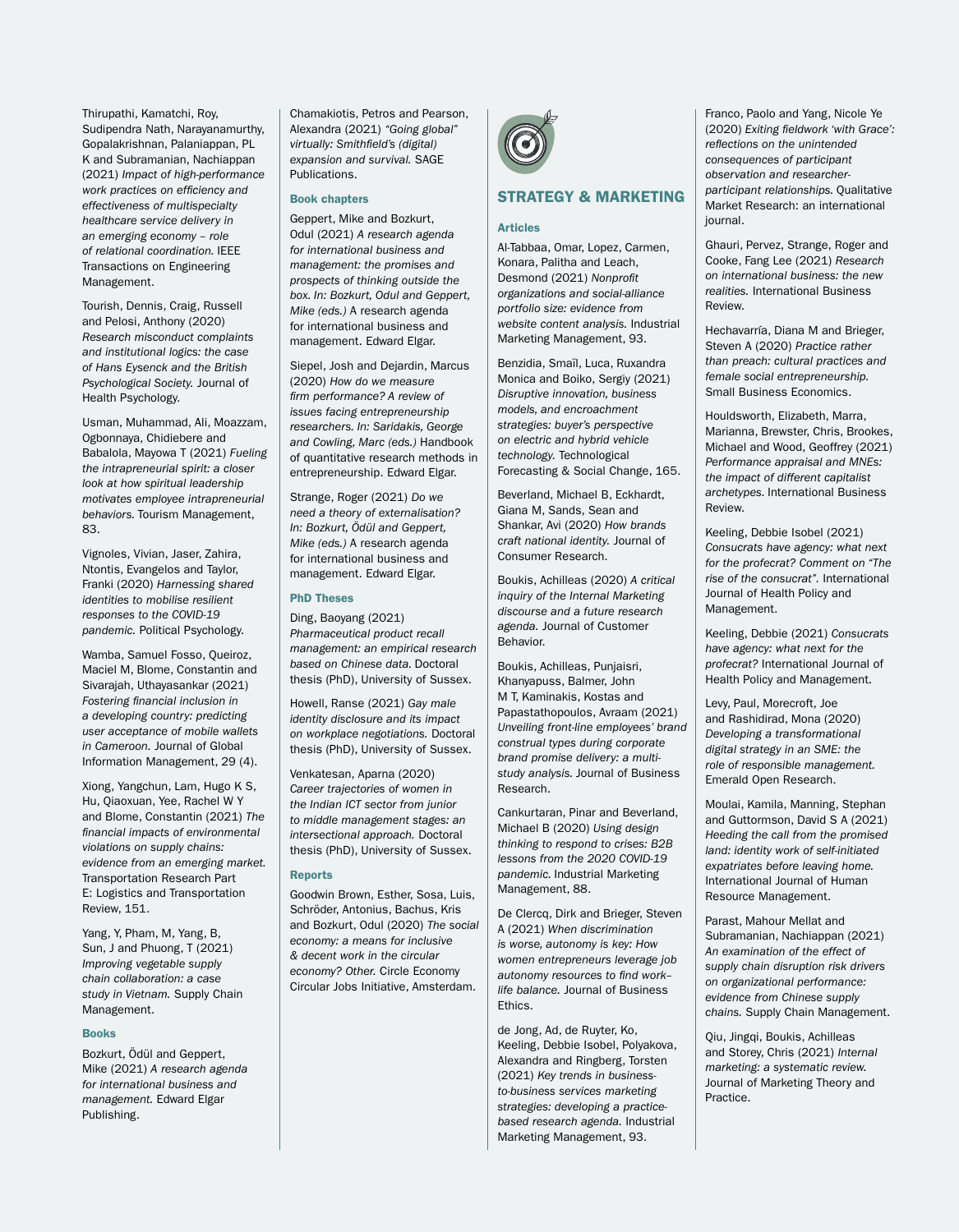Thirupathi, Kamatchi, Roy, Sudipendra Nath, Narayanamurthy, Gopalakrishnan, Palaniappan, PL K and Subramanian, Nachiappan (2021) *Impact of high-performance work practices on efficiency and effectiveness of multispecialty healthcare service delivery in an emerging economy – role of relational coordination.* IEEE Transactions on Engineering Management.

Tourish, Dennis, Craig, Russell and Pelosi, Anthony (2020) *Research misconduct complaints and institutional logics: the case of Hans Eysenck and the British Psychological Society.* Journal of Health Psychology.

Usman, Muhammad, Ali, Moazzam, Ogbonnaya, Chidiebere and Babalola, Mayowa T (2021) *Fueling the intrapreneurial spirit: a closer look at how spiritual leadership motivates employee intrapreneurial behaviors.* Tourism Management, 83.

Vignoles, Vivian, Jaser, Zahira, Ntontis, Evangelos and Taylor, Franki (2020) *Harnessing shared identities to mobilise resilient responses to the COVID-19 pandemic.* Political Psychology.

Wamba, Samuel Fosso, Queiroz, Maciel M, Blome, Constantin and Sivarajah, Uthayasankar (2021) *Fostering financial inclusion in a developing country: predicting user acceptance of mobile wallets in Cameroon.* Journal of Global Information Management, 29 (4).

Xiong, Yangchun, Lam, Hugo K S, Hu, Qiaoxuan, Yee, Rachel W Y and Blome, Constantin (2021) *The financial impacts of environmental violations on supply chains: evidence from an emerging market.* Transportation Research Part E: Logistics and Transportation Review, 151.

Yang, Y, Pham, M, Yang, B, Sun, J and Phuong, T (2021) *Improving vegetable supply chain collaboration: a case study in Vietnam.* Supply Chain Management.

#### Books

Bozkurt, Ödül and Geppert, Mike (2021) *A research agenda for international business and management.* Edward Elgar Publishing.

Chamakiotis, Petros and Pearson, Alexandra (2021) *"Going global" virtually: Smithfield's (digital) expansion and survival.* SAGE Publications.

#### Book chapters

Gennert, Mike and Bozkurt Odul (2021) *A research agenda for international business and management: the promises and prospects of thinking outside the box. In: Bozkurt, Odul and Geppert, Mike (eds.)* A research agenda for international business and management. Edward Elgar.

Siepel, Josh and Dejardin, Marcus (2020) *How do we measure firm performance? A review of issues facing entrepreneurship researchers. In: Saridakis, George and Cowling, Marc (eds.)* Handbook of quantitative research methods in entrepreneurship. Edward Elgar.

Strange, Roger (2021) *Do we need a theory of externalisation? In: Bozkurt, Ödül and Geppert, Mike (eds.)* A research agenda for international business and management. Edward Elgar.

#### PhD Theses

Ding, Baoyang (2021) *Pharmaceutical product recall management: an empirical research based on Chinese data.* Doctoral thesis (PhD), University of Sussex.

Howell, Ranse (2021) *Gay male identity disclosure and its impact on workplace negotiations.* Doctoral thesis (PhD), University of Sussex.

Venkatesan, Aparna (2020) *Career trajectories of women in the Indian ICT sector from junior to middle management stages: an intersectional approach.* Doctoral thesis (PhD), University of Sussex.

#### **Reports**

Goodwin Brown, Esther, Sosa, Luis, Schröder, Antonius, Bachus, Kris and Bozkurt, Odul (2020) *The social economy: a means for inclusive & decent work in the circular economy? Other.* Circle Economy Circular Jobs Initiative, Amsterdam.



## STRATEGY & MARKETING

#### **Articles**

Al-Tabbaa, Omar, Lopez, Carmen, Konara, Palitha and Leach, Desmond (2021) *Nonprofit organizations and social-alliance portfolio size: evidence from website content analysis.* Industrial Marketing Management, 93.

Benzidia, Smaïl, Luca, Ruxandra Monica and Boiko, Sergiy (2021) *Disruptive innovation, business models, and encroachment strategies: buyer's perspective on electric and hybrid vehicle technology.* Technological Forecasting & Social Change, 165.

Beverland, Michael B, Eckhardt, Giana M, Sands, Sean and Shankar, Avi (2020) *How brands craft national identity.* Journal of Consumer Research.

Boukis, Achilleas (2020) *A critical inquiry of the Internal Marketing discourse and a future research agenda.* Journal of Customer Behavior.

Boukis, Achilleas, Punjaisri, Khanyapuss, Balmer, John M T, Kaminakis, Kostas and Papastathopoulos, Avraam (2021) *Unveiling front-line employees' brand construal types during corporate brand promise delivery: a multistudy analysis.* Journal of Business Research.

Cankurtaran, Pinar and Beverland, Michael B (2020) *Using design thinking to respond to crises: B2B lessons from the 2020 COVID-19 pandemic.* Industrial Marketing Management, 88.

De Clercq, Dirk and Brieger, Steven A (2021) *When discrimination is worse, autonomy is key: How women entrepreneurs leverage job autonomy resources to find work– life balance.* Journal of Business Ethics.

de Jong, Ad, de Ruyter, Ko, Keeling, Debbie Isobel, Polyakova, Alexandra and Ringberg, Torsten (2021) *Key trends in businessto-business services marketing strategies: developing a practicebased research agenda.* Industrial Marketing Management, 93.

Franco, Paolo and Yang, Nicole Ye (2020) *Exiting fieldwork 'with Grace': reflections on the unintended consequences of participant observation and researcherparticipant relationships.* Qualitative Market Research: an international journal.

Ghauri, Pervez, Strange, Roger and Cooke, Fang Lee (2021) *Research on international business: the new realities.* International Business Review.

Hechavarría, Diana M and Brieger, Steven A (2020) *Practice rather than preach: cultural practices and female social entrepreneurship.* Small Business Economics.

Houldsworth, Elizabeth, Marra, Marianna, Brewster, Chris, Brookes, Michael and Wood, Geoffrey (2021) *Performance appraisal and MNEs: the impact of different capitalist archetypes.* International Business Review.

Keeling, Debbie Isobel (2021) *Consucrats have agency: what next for the profecrat? Comment on "The rise of the consucrat".* International Journal of Health Policy and Management.

Keeling, Debbie (2021) *Consucrats have agency: what next for the profecrat?* International Journal of Health Policy and Management.

Levy, Paul, Morecroft, Joe and Rashidirad, Mona (2020) *Developing a transformational digital strategy in an SME: the role of responsible management.* Emerald Open Research.

Moulai, Kamila, Manning, Stephan and Guttormson, David S A (2021) *Heeding the call from the promised land: identity work of self-initiated expatriates before leaving home.* International Journal of Human Resource Management.

Parast, Mahour Mellat and Subramanian, Nachiappan (2021) *An examination of the effect of supply chain disruption risk drivers on organizational performance: evidence from Chinese supply chains.* Supply Chain Management.

Qiu, Jingqi, Boukis, Achilleas and Storey, Chris (2021) *Internal marketing: a systematic review.* Journal of Marketing Theory and Practice.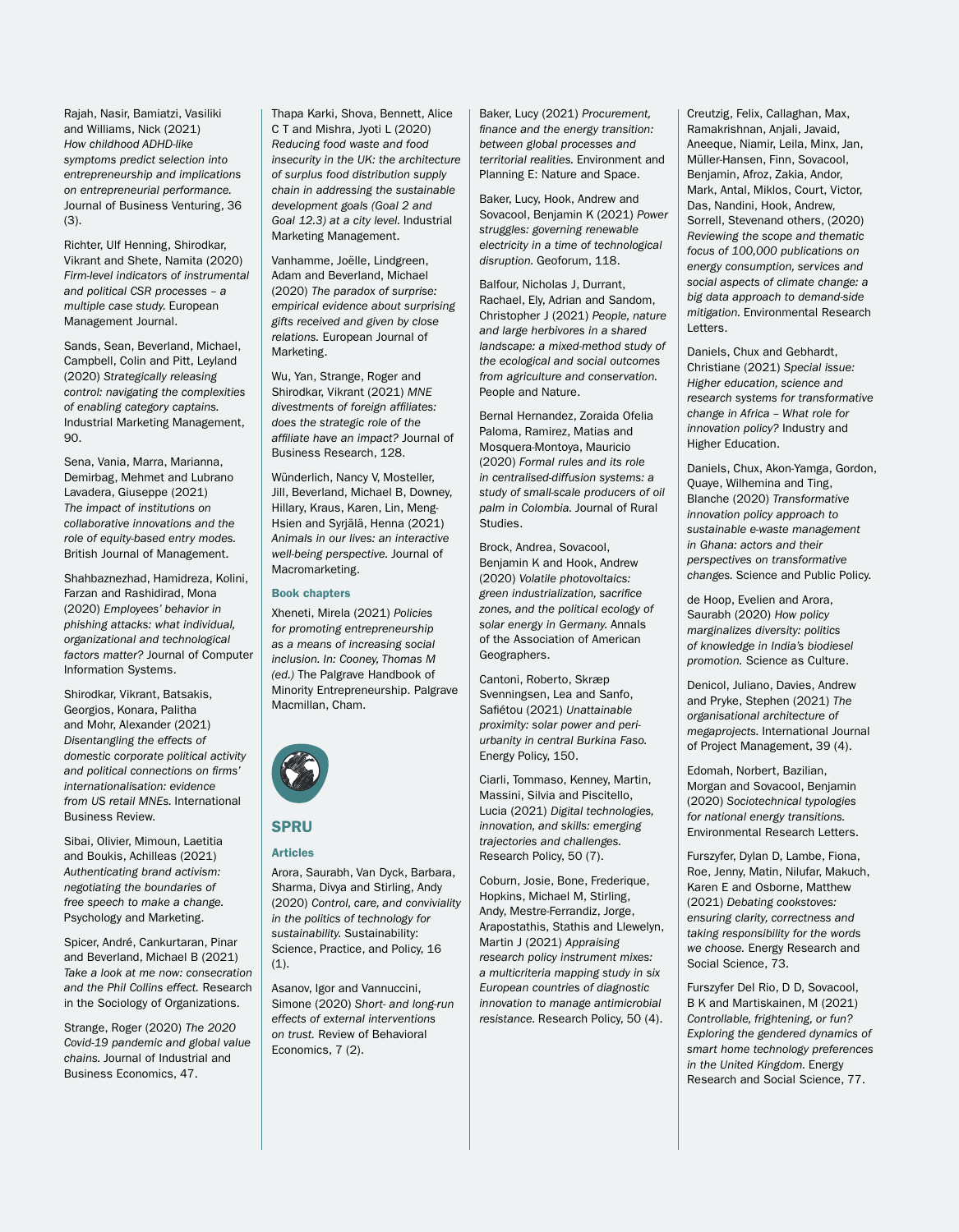Rajah, Nasir, Bamiatzi, Vasiliki and Williams, Nick (2021) *How childhood ADHD-like symptoms predict selection into entrepreneurship and implications on entrepreneurial performance.* Journal of Business Venturing, 36 (3).

Richter, Ulf Henning, Shirodkar, Vikrant and Shete, Namita (2020) *Firm-level indicators of instrumental and political CSR processes – a multiple case study.* European Management Journal.

Sands, Sean, Beverland, Michael, Campbell, Colin and Pitt, Leyland (2020) *Strategically releasing control: navigating the complexities of enabling category captains.* Industrial Marketing Management,  $90.$ 

Sena, Vania, Marra, Marianna, Demirbag, Mehmet and Lubrano Lavadera, Giuseppe (2021) *The impact of institutions on collaborative innovations and the role of equity-based entry modes.*  British Journal of Management.

Shahbaznezhad, Hamidreza, Kolini, Farzan and Rashidirad, Mona (2020) *Employees' behavior in phishing attacks: what individual, organizational and technological factors matter?* Journal of Computer Information Systems.

Shirodkar, Vikrant, Batsakis, Georgios, Konara, Palitha and Mohr, Alexander (2021) *Disentangling the effects of domestic corporate political activity and political connections on firms' internationalisation: evidence from US retail MNEs.* International Business Review.

Sibai, Olivier, Mimoun, Laetitia and Boukis, Achilleas (2021) *Authenticating brand activism: negotiating the boundaries of free speech to make a change.* Psychology and Marketing.

Spicer, André, Cankurtaran, Pinar and Beverland, Michael B (2021) *Take a look at me now: consecration and the Phil Collins effect.* Research in the Sociology of Organizations.

Strange, Roger (2020) *The 2020 Covid-19 pandemic and global value chains.* Journal of Industrial and Business Economics, 47.

Thapa Karki, Shova, Bennett, Alice C T and Mishra, Jyoti L (2020) *Reducing food waste and food insecurity in the UK: the architecture of surplus food distribution supply chain in addressing the sustainable development goals (Goal 2 and Goal 12.3) at a city level.* Industrial Marketing Management.

Vanhamme, Joëlle, Lindgreen, Adam and Beverland, Michael (2020) *The paradox of surprise: empirical evidence about surprising gifts received and given by close relations.* European Journal of Marketing.

Wu, Yan, Strange, Roger and Shirodkar, Vikrant (2021) *MNE divestments of foreign affiliates: does the strategic role of the affiliate have an impact?* Journal of Business Research, 128.

Wünderlich, Nancy V, Mosteller, Jill, Beverland, Michael B, Downey, Hillary, Kraus, Karen, Lin, Meng-Hsien and Syrjälä, Henna (2021) *Animals in our lives: an interactive well-being perspective.* Journal of Macromarketing.

#### Book chapters

Xheneti, Mirela (2021) *Policies for promoting entrepreneurship as a means of increasing social inclusion. In: Cooney, Thomas M (ed.)* The Palgrave Handbook of Minority Entrepreneurship. Palgrave Macmillan, Cham.



# **SPRII Articles**

Arora, Saurabh, Van Dyck, Barbara, Sharma, Divya and Stirling, Andy (2020) *Control, care, and conviviality in the politics of technology for sustainability.* Sustainability: Science, Practice, and Policy, 16  $(1).$ 

Asanov, Igor and Vannuccini, Simone (2020) *Short- and long-run effects of external interventions on trust.* Review of Behavioral Economics, 7 (2).

Baker, Lucy (2021) *Procurement, finance and the energy transition: between global processes and territorial realities.* Environment and Planning E: Nature and Space.

Baker, Lucy, Hook, Andrew and Sovacool, Benjamin K (2021) *Power struggles: governing renewable electricity in a time of technological disruption.* Geoforum, 118.

Balfour, Nicholas J, Durrant, Rachael, Ely, Adrian and Sandom, Christopher J (2021) *People, nature and large herbivores in a shared landscape: a mixed-method study of the ecological and social outcomes from agriculture and conservation.*  People and Nature.

Bernal Hernandez, Zoraida Ofelia Paloma, Ramirez, Matias and Mosquera-Montoya, Mauricio (2020) *Formal rules and its role in centralised-diffusion systems: a study of small-scale producers of oil palm in Colombia.* Journal of Rural Studies.

Brock, Andrea, Sovacool, Benjamin K and Hook, Andrew (2020) *Volatile photovoltaics: green industrialization, sacrifice zones, and the political ecology of solar energy in Germany.* Annals of the Association of American Geographers.

Cantoni, Roberto, Skræp Svenningsen, Lea and Sanfo, Safiétou (2021) *Unattainable proximity: solar power and periurbanity in central Burkina Faso.* Energy Policy, 150.

Ciarli, Tommaso, Kenney, Martin, Massini, Silvia and Piscitello, Lucia (2021) *Digital technologies, innovation, and skills: emerging trajectories and challenges.* Research Policy, 50 (7).

Coburn, Josie, Bone, Frederique, Hopkins, Michael M, Stirling, Andy, Mestre-Ferrandiz, Jorge, Arapostathis, Stathis and Llewelyn, Martin J (2021) *Appraising research policy instrument mixes: a multicriteria mapping study in six European countries of diagnostic innovation to manage antimicrobial resistance.* Research Policy, 50 (4).

Creutzig, Felix, Callaghan, Max, Ramakrishnan, Anjali, Javaid, Aneeque, Niamir, Leila, Minx, Jan, Müller-Hansen, Finn, Sovacool, Benjamin, Afroz, Zakia, Andor, Mark, Antal, Miklos, Court, Victor, Das, Nandini, Hook, Andrew, Sorrell, Stevenand others, (2020) *Reviewing the scope and thematic focus of 100,000 publications on energy consumption, services and social aspects of climate change: a big data approach to demand-side mitigation.* Environmental Research Letters.

Daniels, Chux and Gebhardt, Christiane (2021) *Special issue: Higher education, science and research systems for transformative change in Africa – What role for innovation policy?* Industry and Higher Education.

Daniels, Chux, Akon-Yamga, Gordon, Quaye, Wilhemina and Ting, Blanche (2020) *Transformative innovation policy approach to sustainable e-waste management in Ghana: actors and their perspectives on transformative changes.* Science and Public Policy.

de Hoop, Evelien and Arora, Saurabh (2020) *How policy marginalizes diversity: politics of knowledge in India's biodiesel promotion.* Science as Culture.

Denicol, Juliano, Davies, Andrew and Pryke, Stephen (2021) *The organisational architecture of megaprojects.* International Journal of Project Management, 39 (4).

Edomah, Norbert, Bazilian, Morgan and Sovacool, Benjamin (2020) *Sociotechnical typologies for national energy transitions.* Environmental Research Letters.

Furszyfer, Dylan D, Lambe, Fiona, Roe, Jenny, Matin, Nilufar, Makuch, Karen E and Osborne, Matthew (2021) *Debating cookstoves: ensuring clarity, correctness and taking responsibility for the words we choose.* Energy Research and Social Science, 73.

Furszyfer Del Rio, D D, Sovacool, B K and Martiskainen, M (2021) *Controllable, frightening, or fun? Exploring the gendered dynamics of smart home technology preferences in the United Kingdom.* Energy Research and Social Science, 77.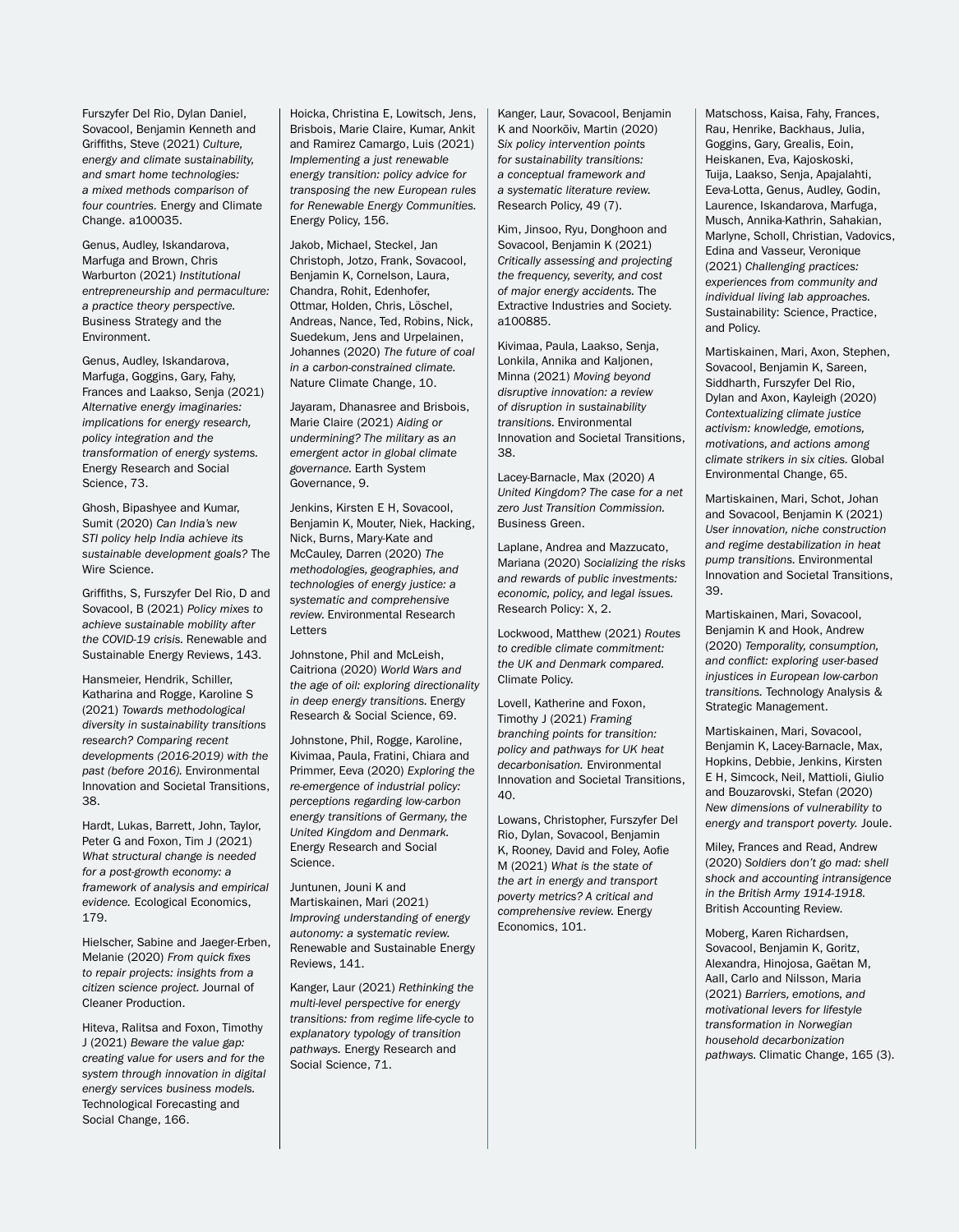Furszyfer Del Rio, Dylan Daniel, Sovacool, Benjamin Kenneth and Griffiths, Steve (2021) *Culture, energy and climate sustainability, and smart home technologies: a mixed methods comparison of four countries.* Energy and Climate Change. a100035.

Genus, Audley, Iskandarova, Marfuga and Brown, Chris Warburton (2021) *Institutional entrepreneurship and permaculture: a practice theory perspective.*  Business Strategy and the Environment.

Genus, Audley, Iskandarova, Marfuga, Goggins, Gary, Fahy, Frances and Laakso, Senja (2021) *Alternative energy imaginaries: implications for energy research, policy integration and the transformation of energy systems.* Energy Research and Social Science, 73.

Ghosh, Bipashyee and Kumar, Sumit (2020) *Can India's new STI policy help India achieve its sustainable development goals?* The Wire Science.

Griffiths, S, Furszyfer Del Rio, D and Sovacool, B (2021) *Policy mixes to achieve sustainable mobility after the COVID-19 crisis.* Renewable and Sustainable Energy Reviews, 143.

Hansmeier, Hendrik, Schiller Katharina and Rogge, Karoline S (2021) *Towards methodological diversity in sustainability transitions research? Comparing recent developments (2016-2019) with the past (before 2016).* Environmental Innovation and Societal Transitions, 38.

Hardt, Lukas, Barrett, John, Taylor, Peter G and Foxon, Tim J (2021) *What structural change is needed for a post-growth economy: a framework of analysis and empirical evidence.* Ecological Economics, 179.

Hielscher, Sabine and Jaeger-Erben, Melanie (2020) *From quick fixes to repair projects: insights from a citizen science project.* Journal of Cleaner Production.

Hiteva, Ralitsa and Foxon, Timothy J (2021) *Beware the value gap: creating value for users and for the system through innovation in digital energy services business models.*  Technological Forecasting and Social Change, 166.

Hoicka, Christina E, Lowitsch, Jens, Brisbois, Marie Claire, Kumar, Ankit and Ramirez Camargo, Luis (2021) *Implementing a just renewable energy transition: policy advice for transposing the new European rules for Renewable Energy Communities.*  Energy Policy, 156.

Jakob, Michael, Steckel, Jan Christoph, Jotzo, Frank, Sovacool, Benjamin K, Cornelson, Laura, Chandra, Rohit, Edenhofer, Ottmar, Holden, Chris, Löschel, Andreas, Nance, Ted, Robins, Nick, Suedekum, Jens and Urpelainen, Johannes (2020) *The future of coal in a carbon-constrained climate.* Nature Climate Change, 10.

Jayaram, Dhanasree and Brisbois, Marie Claire (2021) *Aiding or undermining? The military as an emergent actor in global climate governance.* Earth System Governance, 9.

Jenkins, Kirsten E H, Sovacool, Benjamin K, Mouter, Niek, Hacking, Nick, Burns, Mary-Kate and McCauley, Darren (2020) *The methodologies, geographies, and technologies of energy justice: a systematic and comprehensive review.* Environmental Research Letters

Johnstone, Phil and McLeish, Caitriona (2020) *World Wars and the age of oil: exploring directionality in deep energy transitions.* Energy Research & Social Science, 69.

Johnstone, Phil, Rogge, Karoline, Kivimaa, Paula, Fratini, Chiara and Primmer, Eeva (2020) *Exploring the re-emergence of industrial policy: perceptions regarding low-carbon energy transitions of Germany, the United Kingdom and Denmark.* Energy Research and Social Science.

Juntunen, Jouni K and Martiskainen, Mari (2021) *Improving understanding of energy autonomy: a systematic review.* Renewable and Sustainable Energy Reviews, 141.

Kanger, Laur (2021) *Rethinking the multi-level perspective for energy transitions: from regime life-cycle to explanatory typology of transition pathways.* Energy Research and Social Science, 71.

Kanger, Laur, Sovacool, Benjamin K and Noorkõiv, Martin (2020) *Six policy intervention points for sustainability transitions: a conceptual framework and a systematic literature review.*  Research Policy, 49 (7).

Kim, Jinsoo, Ryu, Donghoon and Sovacool, Benjamin K (2021) *Critically assessing and projecting the frequency, severity, and cost of major energy accidents.* The Extractive Industries and Society. a100885.

Kivimaa, Paula, Laakso, Senja, Lonkila, Annika and Kaljonen, Minna (2021) *Moving beyond disruptive innovation: a review of disruption in sustainability transitions.* Environmental Innovation and Societal Transitions, 38.

Lacey-Barnacle, Max (2020) *A United Kingdom? The case for a net zero Just Transition Commission.* Business Green.

Laplane, Andrea and Mazzucato, Mariana (2020) *Socializing the risks and rewards of public investments: economic, policy, and legal issues.* Research Policy: X, 2.

Lockwood, Matthew (2021) *Routes to credible climate commitment: the UK and Denmark compared.* Climate Policy.

Lovell, Katherine and Foxon, Timothy J (2021) *Framing branching points for transition: policy and pathways for UK heat decarbonisation.* Environmental Innovation and Societal Transitions, 40.

Lowans, Christopher, Furszyfer Del Rio, Dylan, Sovacool, Benjamin K, Rooney, David and Foley, Aofie M (2021) *What is the state of the art in energy and transport poverty metrics? A critical and comprehensive review.* Energy Economics, 101.

Matschoss, Kaisa, Fahy, Frances, Rau, Henrike, Backhaus, Julia, Goggins, Gary, Grealis, Eoin, Heiskanen, Eva, Kajoskoski, Tuija, Laakso, Senja, Apajalahti, Eeva-Lotta, Genus, Audley, Godin, Laurence, Iskandarova, Marfuga, Musch, Annika-Kathrin, Sahakian, Marlyne, Scholl, Christian, Vadovics, Edina and Vasseur, Veronique (2021) *Challenging practices: experiences from community and individual living lab approaches.*  Sustainability: Science, Practice, and Policy.

Martiskainen, Mari, Axon, Stephen, Sovacool, Benjamin K, Sareen, Siddharth, Furszyfer Del Rio, Dylan and Axon, Kayleigh (2020) *Contextualizing climate justice activism: knowledge, emotions, motivations, and actions among climate strikers in six cities.* Global Environmental Change, 65.

Martiskainen, Mari, Schot, Johan and Sovacool, Benjamin K (2021) *User innovation, niche construction and regime destabilization in heat pump transitions.* Environmental Innovation and Societal Transitions, 39.

Martiskainen, Mari, Sovacool, Benjamin K and Hook, Andrew (2020) *Temporality, consumption, and conflict: exploring user-based injustices in European low-carbon transitions.* Technology Analysis & Strategic Management.

Martiskainen, Mari, Sovacool, Benjamin K, Lacey-Barnacle, Max, Hopkins, Debbie, Jenkins, Kirsten E H, Simcock, Neil, Mattioli, Giulio and Bouzarovski, Stefan (2020) *New dimensions of vulnerability to energy and transport poverty.* Joule.

Miley, Frances and Read, Andrew (2020) *Soldiers don't go mad: shell shock and accounting intransigence in the British Army 1914-1918.*  British Accounting Review.

Moberg, Karen Richardsen, Sovacool, Benjamin K, Goritz, Alexandra, Hinojosa, Gaëtan M, Aall, Carlo and Nilsson, Maria (2021) *Barriers, emotions, and motivational levers for lifestyle transformation in Norwegian household decarbonization pathways.* Climatic Change, 165 (3).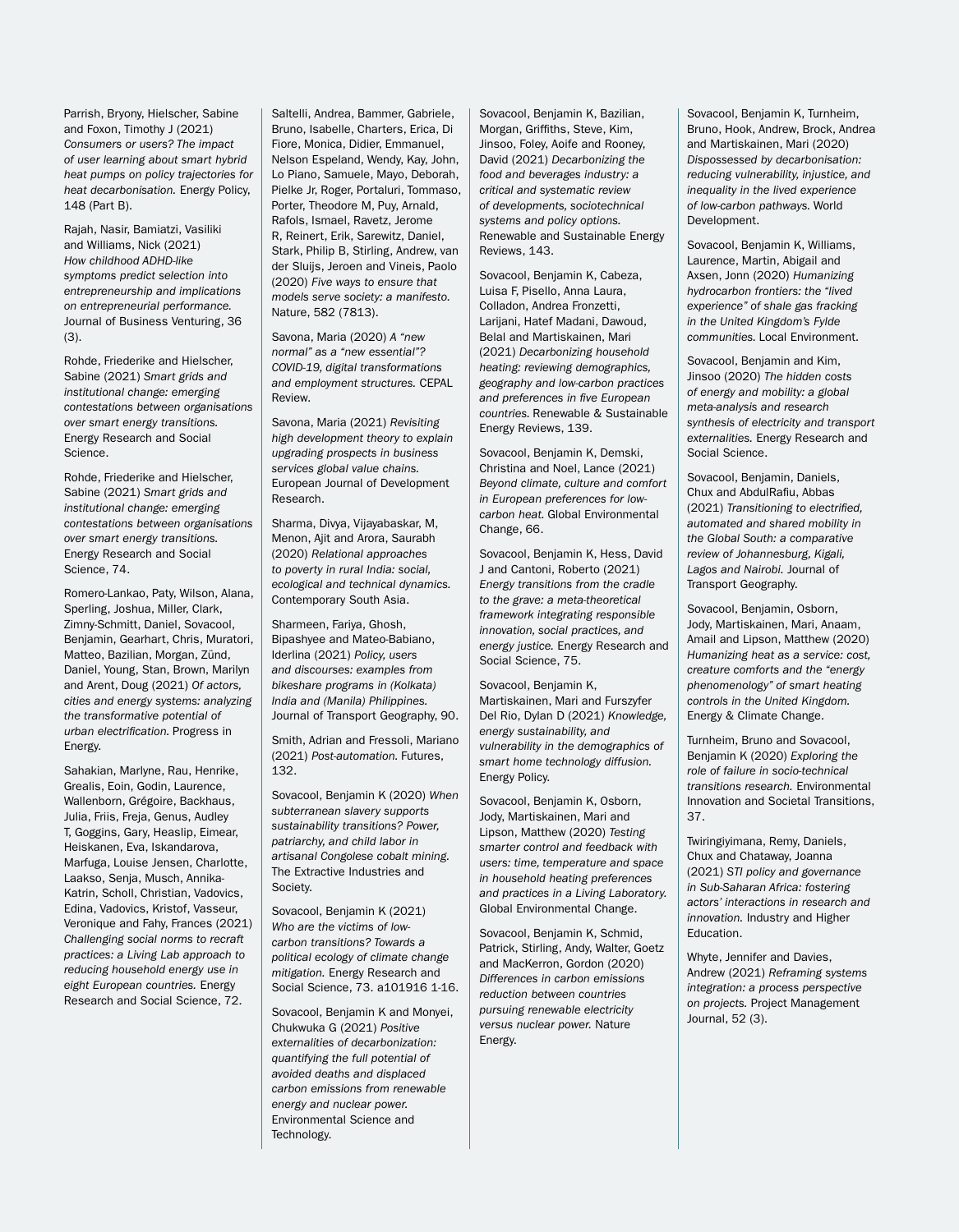Parrish, Bryony, Hielscher, Sabine and Foxon, Timothy J (2021) *Consumers or users? The impact of user learning about smart hybrid heat pumps on policy trajectories for heat decarbonisation.* Energy Policy, 148 (Part B).

Rajah, Nasir, Bamiatzi, Vasiliki and Williams, Nick (2021) *How childhood ADHD-like symptoms predict selection into entrepreneurship and implications on entrepreneurial performance.*  Journal of Business Venturing, 36 (3).

Rohde, Friederike and Hielscher, Sabine (2021) *Smart grids and institutional change: emerging contestations between organisations over smart energy transitions.*  Energy Research and Social Science.

Rohde, Friederike and Hielscher, Sabine (2021) *Smart grids and institutional change: emerging contestations between organisations over smart energy transitions.*  Energy Research and Social Science, 74.

Romero-Lankao, Paty, Wilson, Alana, Sperling, Joshua, Miller, Clark, Zimny-Schmitt, Daniel, Sovacool, Benjamin, Gearhart, Chris, Muratori, Matteo, Bazilian, Morgan, Zünd, Daniel, Young, Stan, Brown, Marilyn and Arent, Doug (2021) *Of actors, cities and energy systems: analyzing the transformative potential of urban electrification.* Progress in Energy.

Sahakian, Marlyne, Rau, Henrike, Grealis, Eoin, Godin, Laurence, Wallenborn, Grégoire, Backhaus, Julia, Friis, Freja, Genus, Audley T, Goggins, Gary, Heaslip, Eimear, Heiskanen, Eva, Iskandarova, Marfuga, Louise Jensen, Charlotte, Laakso, Senja, Musch, Annika-Katrin, Scholl, Christian, Vadovics, Edina, Vadovics, Kristof, Vasseur, Veronique and Fahy, Frances (2021) *Challenging social norms to recraft practices: a Living Lab approach to reducing household energy use in eight European countries.* Energy Research and Social Science, 72.

Saltelli, Andrea, Bammer, Gabriele, Bruno, Isabelle, Charters, Erica, Di Fiore, Monica, Didier, Emmanuel, Nelson Espeland, Wendy, Kay, John, Lo Piano, Samuele, Mayo, Deborah, Pielke Jr, Roger, Portaluri, Tommaso, Porter, Theodore M, Puy, Arnald, Rafols, Ismael, Ravetz, Jerome R, Reinert, Erik, Sarewitz, Daniel, Stark, Philip B, Stirling, Andrew, van der Sluijs, Jeroen and Vineis, Paolo (2020) *Five ways to ensure that models serve society: a manifesto.* Nature, 582 (7813).

Savona, Maria (2020) *A "new normal" as a "new essential"? COVID-19, digital transformations and employment structures.* CEPAL Review.

Savona, Maria (2021) *Revisiting high development theory to explain upgrading prospects in business services global value chains.* European Journal of Development Research.

Sharma, Divya, Vijayabaskar, M, Menon, Ajit and Arora, Saurabh (2020) *Relational approaches to poverty in rural India: social, ecological and technical dynamics.*  Contemporary South Asia.

Sharmeen, Fariya, Ghosh, Bipashyee and Mateo-Babiano, Iderlina (2021) *Policy, users and discourses: examples from bikeshare programs in (Kolkata) India and (Manila) Philippines.*  Journal of Transport Geography, 90.

Smith, Adrian and Fressoli, Mariano (2021) *Post-automation.* Futures, 132.

Sovacool, Benjamin K (2020) *When subterranean slavery supports sustainability transitions? Power, patriarchy, and child labor in artisanal Congolese cobalt mining.* The Extractive Industries and Society.

Sovacool, Benjamin K (2021) *Who are the victims of lowcarbon transitions? Towards a political ecology of climate change mitigation.* Energy Research and Social Science, 73. a101916 1-16.

Sovacool, Benjamin K and Monyei, Chukwuka G (2021) *Positive externalities of decarbonization: quantifying the full potential of avoided deaths and displaced carbon emissions from renewable energy and nuclear power.*  Environmental Science and Technology.

Sovacool, Benjamin K, Bazilian, Morgan, Griffiths, Steve, Kim, Jinsoo, Foley, Aoife and Rooney, David (2021) *Decarbonizing the food and beverages industry: a critical and systematic review of developments, sociotechnical systems and policy options.*  Renewable and Sustainable Energy Reviews, 143.

Sovacool, Benjamin K, Cabeza, Luisa F, Pisello, Anna Laura, Colladon, Andrea Fronzetti, Larijani, Hatef Madani, Dawoud, Belal and Martiskainen, Mari (2021) *Decarbonizing household heating: reviewing demographics, geography and low-carbon practices and preferences in five European countries.* Renewable & Sustainable Energy Reviews, 139.

Sovacool, Benjamin K, Demski, Christina and Noel, Lance (2021) *Beyond climate, culture and comfort in European preferences for lowcarbon heat.* Global Environmental Change, 66.

Sovacool, Benjamin K, Hess, David J and Cantoni, Roberto (2021) *Energy transitions from the cradle to the grave: a meta-theoretical framework integrating responsible innovation, social practices, and energy justice.* Energy Research and Social Science, 75.

Sovacool, Benjamin K, Martiskainen, Mari and Furszyfer Del Rio, Dylan D (2021) *Knowledge, energy sustainability, and vulnerability in the demographics of smart home technology diffusion.*  Energy Policy.

Sovacool, Benjamin K, Osborn, Jody, Martiskainen, Mari and Lipson, Matthew (2020) *Testing smarter control and feedback with users: time, temperature and space in household heating preferences and practices in a Living Laboratory.* Global Environmental Change.

Sovacool, Benjamin K, Schmid, Patrick, Stirling, Andy, Walter, Goetz and MacKerron, Gordon (2020) *Differences in carbon emissions reduction between countries pursuing renewable electricity versus nuclear power.* Nature Energy.

Sovacool, Benjamin K, Turnheim, Bruno, Hook, Andrew, Brock, Andrea and Martiskainen, Mari (2020) *Dispossessed by decarbonisation: reducing vulnerability, injustice, and inequality in the lived experience of low-carbon pathways.* World Development.

Sovacool, Benjamin K, Williams, Laurence, Martin, Abigail and Axsen, Jonn (2020) *Humanizing hydrocarbon frontiers: the "lived experience" of shale gas fracking in the United Kingdom's Fylde communities.* Local Environment.

Sovacool, Benjamin and Kim, Jinsoo (2020) *The hidden costs of energy and mobility: a global meta-analysis and research synthesis of electricity and transport externalities.* Energy Research and Social Science.

Sovacool, Benjamin, Daniels, Chux and AbdulRafiu, Abbas (2021) *Transitioning to electrified, automated and shared mobility in the Global South: a comparative review of Johannesburg, Kigali, Lagos and Nairobi.* Journal of Transport Geography.

Sovacool, Benjamin, Osborn, Jody, Martiskainen, Mari, Anaam, Amail and Lipson, Matthew (2020) *Humanizing heat as a service: cost, creature comforts and the "energy phenomenology" of smart heating controls in the United Kingdom.*  Energy & Climate Change.

Turnheim, Bruno and Sovacool, Benjamin K (2020) *Exploring the role of failure in socio-technical transitions research.* Environmental Innovation and Societal Transitions, 37.

Twiringiyimana, Remy, Daniels, Chux and Chataway, Joanna (2021) *STI policy and governance in Sub-Saharan Africa: fostering actors' interactions in research and innovation.* Industry and Higher Education.

Whyte, Jennifer and Davies, Andrew (2021) *Reframing systems integration: a process perspective on projects.* Project Management Journal, 52 (3).